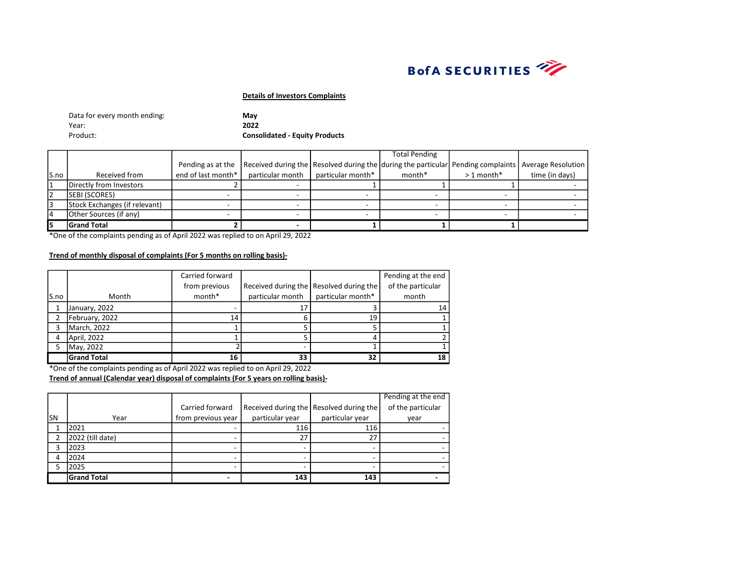

| Data for every month ending: | Mav                                   |
|------------------------------|---------------------------------------|
| Year:                        | 2022                                  |
| Product:                     | <b>Consolidated - Equity Products</b> |

|      |                               |                      |                                                                                                     |                   | <b>Total Pending</b> |             |                |
|------|-------------------------------|----------------------|-----------------------------------------------------------------------------------------------------|-------------------|----------------------|-------------|----------------|
|      |                               | Pending as at the    | Received during the Resolved during the during the particular Pending complaints Average Resolution |                   |                      |             |                |
| S.no | Received from                 | end of last month* I | particular month                                                                                    | particular month* | month*               | $>1$ month* | time (in days) |
|      | Directly from Investors       |                      |                                                                                                     |                   |                      |             |                |
| 2    | <b>SEBI (SCORES)</b>          |                      |                                                                                                     |                   |                      |             |                |
|      | Stock Exchanges (if relevant) |                      |                                                                                                     |                   |                      |             |                |
| 14   | Other Sources (if any)        |                      |                                                                                                     |                   |                      |             |                |
| I5   | <b>Grand Total</b>            |                      |                                                                                                     |                   |                      |             |                |

\*One of the complaints pending as of April 2022 was replied to on April 29, 2022

# Trend of monthly disposal of complaints (For 5 months on rolling basis)-

|       |                    | Carried forward |                  |                                           | Pending at the end |
|-------|--------------------|-----------------|------------------|-------------------------------------------|--------------------|
|       |                    | from previous   |                  | Received during the   Resolved during the | of the particular  |
| lS.no | Month              | month*          | particular month | particular month*                         | month              |
|       | January, 2022      |                 | 17               |                                           | 14                 |
|       | February, 2022     | 14              |                  | 19                                        |                    |
|       | March, 2022        |                 |                  |                                           |                    |
| 4     | April, 2022        |                 |                  |                                           |                    |
|       | May, 2022          |                 |                  |                                           |                    |
|       | <b>Grand Total</b> | 16              | 33               | 32                                        | 18                 |

\*One of the complaints pending as of April 2022 was replied to on April 29, 2022

|     |                    |                    |                 |                                         | Pending at the end |
|-----|--------------------|--------------------|-----------------|-----------------------------------------|--------------------|
|     |                    | Carried forward    |                 | Received during the Resolved during the | of the particular  |
| lsn | Year               | from previous year | particular year | particular year                         | year               |
|     | 2021               |                    | 116             | 116                                     |                    |
|     | 2022 (till date)   |                    | 27              |                                         |                    |
|     | 2023               |                    |                 |                                         |                    |
|     | 2024               |                    |                 |                                         |                    |
|     | 2025               |                    |                 |                                         |                    |
|     | <b>Grand Total</b> |                    | 143             | 143                                     |                    |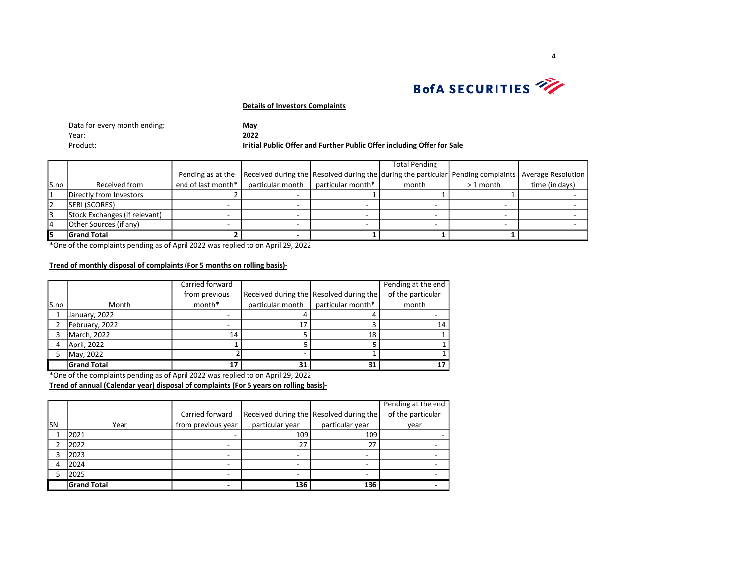

| Data for every month ending: | May                                                                    |
|------------------------------|------------------------------------------------------------------------|
| Year:                        | 2022                                                                   |
| Product:                     | Initial Public Offer and Further Public Offer including Offer for Sale |

|      |                               |                    |                  |                   | <b>Total Pending</b>                                                                                |            |                |
|------|-------------------------------|--------------------|------------------|-------------------|-----------------------------------------------------------------------------------------------------|------------|----------------|
|      |                               | Pending as at the  |                  |                   | Received during the Resolved during the during the particular Pending complaints Average Resolution |            |                |
| S.no | Received from                 | end of last month* | particular month | particular month* | month                                                                                               | $>1$ month | time (in days) |
|      | Directly from Investors       |                    |                  |                   |                                                                                                     |            |                |
| 12   | <b>SEBI (SCORES)</b>          |                    |                  |                   |                                                                                                     |            |                |
| 3    | Stock Exchanges (if relevant) |                    |                  |                   |                                                                                                     |            |                |
| 14   | Other Sources (if any)        |                    |                  |                   |                                                                                                     |            |                |
|      | <b>Grand Total</b>            |                    |                  |                   |                                                                                                     |            |                |

\*One of the complaints pending as of April 2022 was replied to on April 29, 2022

# Trend of monthly disposal of complaints (For 5 months on rolling basis)-

|      |                    | Carried forward |                  |                                           | Pending at the end |
|------|--------------------|-----------------|------------------|-------------------------------------------|--------------------|
|      |                    | from previous   |                  | Received during the   Resolved during the | of the particular  |
| S.no | Month              | month*          | particular month | particular month*                         | month              |
|      | January, 2022      |                 |                  |                                           |                    |
|      | February, 2022     |                 |                  |                                           | 14                 |
|      | March, 2022        | 14              |                  | 18                                        |                    |
| 4    | April, 2022        |                 |                  |                                           |                    |
|      | May, 2022          |                 |                  |                                           |                    |
|      | <b>Grand Total</b> | 17              | 31               | 31                                        |                    |

\*One of the complaints pending as of April 2022 was replied to on April 29, 2022

|           |                    |                    |                                           |                 | Pending at the end |
|-----------|--------------------|--------------------|-------------------------------------------|-----------------|--------------------|
|           |                    | Carried forward    | Received during the   Resolved during the |                 | of the particular  |
| <b>SN</b> | Year               | from previous year | particular year                           | particular year | year               |
|           | 2021               |                    | 109                                       | 109             |                    |
|           | 2022               |                    | 27                                        | 27              |                    |
|           | 2023               |                    |                                           |                 |                    |
|           | 2024               |                    |                                           |                 |                    |
|           | 2025               |                    |                                           |                 |                    |
|           | <b>Grand Total</b> |                    | 136                                       | 136             |                    |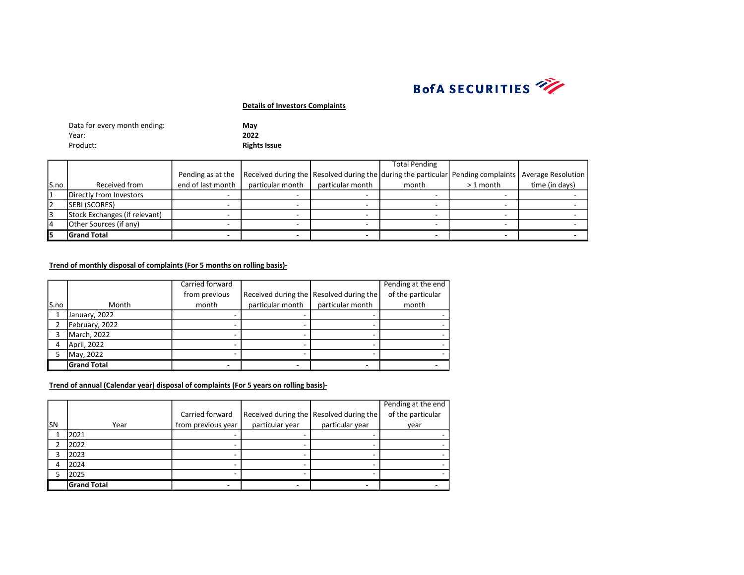

| Data for every month ending: | Mav                 |
|------------------------------|---------------------|
| Year:                        | 2022                |
| Product:                     | <b>Rights Issue</b> |

|       |                               |                   |                  |                  | <b>Total Pending</b>                                                                                |            |                |
|-------|-------------------------------|-------------------|------------------|------------------|-----------------------------------------------------------------------------------------------------|------------|----------------|
|       |                               | Pending as at the |                  |                  | Received during the Resolved during the during the particular Pending complaints Average Resolution |            |                |
| lS.no | Received from                 | end of last month | particular month | particular month | month                                                                                               | $>1$ month | time (in days) |
|       | Directly from Investors       |                   |                  |                  |                                                                                                     |            |                |
| 12    | SEBI (SCORES)                 |                   |                  |                  |                                                                                                     |            |                |
|       | Stock Exchanges (if relevant) |                   |                  |                  |                                                                                                     |            |                |
|       | Other Sources (if any)        |                   |                  |                  |                                                                                                     |            |                |
|       | <b>Grand Total</b>            |                   |                  |                  |                                                                                                     |            |                |

# Trend of monthly disposal of complaints (For 5 months on rolling basis)-

|      |                    | Carried forward |                  |                                           | Pending at the end |
|------|--------------------|-----------------|------------------|-------------------------------------------|--------------------|
|      |                    | from previous   |                  | Received during the   Resolved during the | of the particular  |
| S.no | Month              | month           | particular month | particular month                          | month              |
|      | January, 2022      |                 |                  |                                           |                    |
|      | February, 2022     |                 |                  |                                           |                    |
| ς    | March, 2022        |                 |                  |                                           |                    |
| 4    | April, 2022        |                 |                  |                                           |                    |
| 5    | May, 2022          |                 |                  |                                           |                    |
|      | <b>Grand Total</b> |                 |                  |                                           |                    |

|     |                    |                    |                 |                                         | Pending at the end |
|-----|--------------------|--------------------|-----------------|-----------------------------------------|--------------------|
|     |                    | Carried forward    |                 | Received during the Resolved during the | of the particular  |
| lsn | Year               | from previous year | particular year | particular year                         | year               |
|     | 2021               |                    |                 |                                         |                    |
|     | 2022               |                    |                 |                                         |                    |
|     | 2023               |                    |                 |                                         |                    |
|     | 2024               |                    |                 |                                         |                    |
|     | 2025               |                    |                 |                                         |                    |
|     | <b>Grand Total</b> |                    |                 |                                         |                    |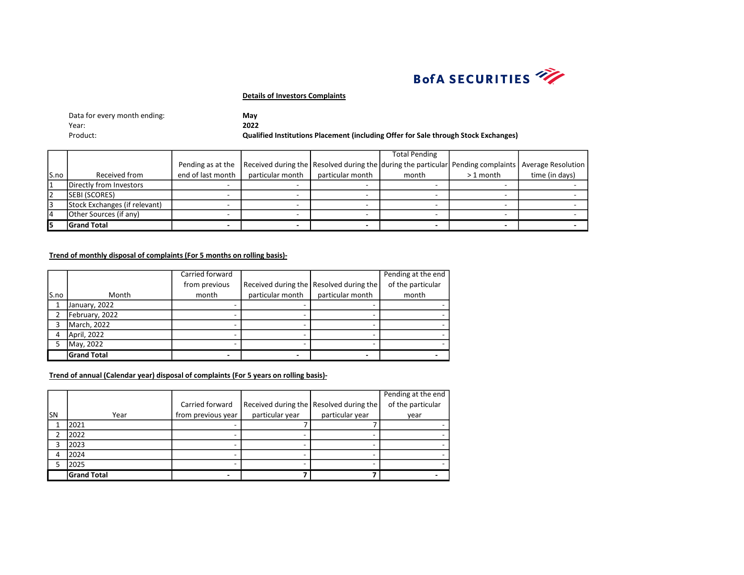

| Data for every month ending: | May                                                                                 |
|------------------------------|-------------------------------------------------------------------------------------|
| Year:                        | 2022                                                                                |
| Product:                     | Qualified Institutions Placement (including Offer for Sale through Stock Exchanges) |

|      |                               |                   |                  |                  | <b>Total Pending</b>                                                                                |            |                |
|------|-------------------------------|-------------------|------------------|------------------|-----------------------------------------------------------------------------------------------------|------------|----------------|
|      |                               | Pending as at the |                  |                  | Received during the Resolved during the during the particular Pending complaints Average Resolution |            |                |
| S.no | Received from                 | end of last month | particular month | particular month | month                                                                                               | $>1$ month | time (in days) |
|      | Directly from Investors       |                   |                  |                  |                                                                                                     |            |                |
|      | <b>SEBI (SCORES)</b>          |                   |                  |                  |                                                                                                     |            |                |
|      | Stock Exchanges (if relevant) |                   |                  |                  |                                                                                                     |            |                |
| 14   | Other Sources (if any)        |                   |                  |                  |                                                                                                     |            |                |
|      | <b>Grand Total</b>            |                   |                  |                  |                                                                                                     |            |                |

# Trend of monthly disposal of complaints (For 5 months on rolling basis)-

|      |                    | Carried forward |                  |                                           | Pending at the end |
|------|--------------------|-----------------|------------------|-------------------------------------------|--------------------|
|      |                    | from previous   |                  | Received during the   Resolved during the | of the particular  |
| S.no | Month              | month           | particular month | particular month                          | month              |
|      | January, 2022      |                 |                  |                                           |                    |
|      | February, 2022     |                 |                  |                                           |                    |
|      | March, 2022        |                 |                  |                                           |                    |
| 4    | April, 2022        |                 |                  |                                           |                    |
|      | May, 2022          |                 |                  |                                           |                    |
|      | <b>Grand Total</b> |                 |                  |                                           |                    |

|     |                    |                    |                 |                                           | Pending at the end |
|-----|--------------------|--------------------|-----------------|-------------------------------------------|--------------------|
|     |                    | Carried forward    |                 | Received during the   Resolved during the | of the particular  |
| lsn | Year               | from previous year | particular year | particular year                           | year               |
|     | 2021               |                    |                 |                                           |                    |
|     | 2022               |                    |                 |                                           |                    |
| ͻ   | 2023               |                    |                 |                                           |                    |
|     | 2024               |                    |                 |                                           |                    |
|     | 2025               |                    |                 |                                           |                    |
|     | <b>Grand Total</b> |                    |                 |                                           |                    |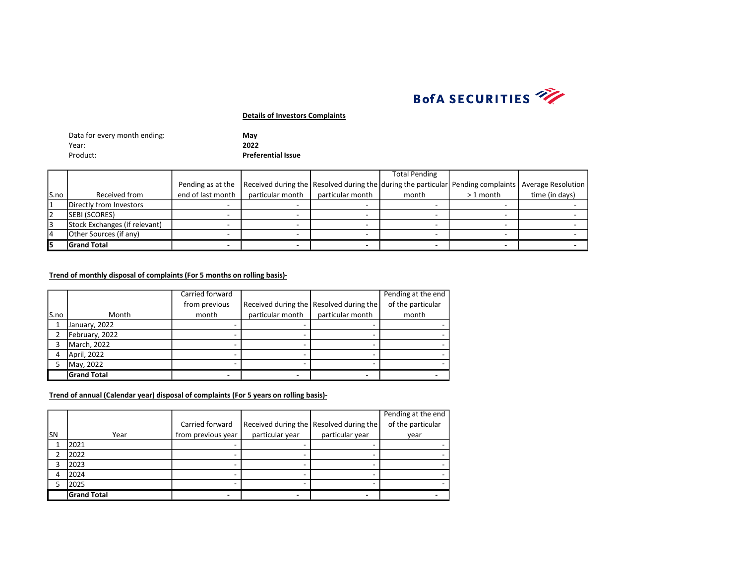

| Data for every month ending: | May                       |
|------------------------------|---------------------------|
| Year:                        | 2022                      |
| Product:                     | <b>Preferential Issue</b> |

|       |                               |                   |                                                                                                     |                  | <b>Total Pending</b> |            |                |
|-------|-------------------------------|-------------------|-----------------------------------------------------------------------------------------------------|------------------|----------------------|------------|----------------|
|       |                               | Pending as at the | Received during the Resolved during the during the particular Pending complaints Average Resolution |                  |                      |            |                |
| lS.no | Received from                 | end of last month | particular month                                                                                    | particular month | month                | $>1$ month | time (in days) |
|       | Directly from Investors       |                   |                                                                                                     |                  |                      |            |                |
| 12    | <b>SEBI (SCORES)</b>          |                   |                                                                                                     |                  |                      |            |                |
|       | Stock Exchanges (if relevant) |                   |                                                                                                     |                  |                      |            |                |
|       | Other Sources (if any)        |                   |                                                                                                     |                  |                      |            |                |
|       | <b>Grand Total</b>            |                   |                                                                                                     |                  |                      |            |                |

## Trend of monthly disposal of complaints (For 5 months on rolling basis)-

|      |                    | Carried forward |                  |                                         | Pending at the end |
|------|--------------------|-----------------|------------------|-----------------------------------------|--------------------|
|      |                    | from previous   |                  | Received during the Resolved during the | of the particular  |
| S.no | Month              | month           | particular month | particular month                        | month              |
|      | January, 2022      |                 |                  |                                         |                    |
|      | February, 2022     |                 |                  |                                         |                    |
|      | March, 2022        |                 |                  |                                         |                    |
|      | April, 2022        |                 |                  |                                         |                    |
|      | May, 2022          |                 |                  |                                         |                    |
|      | <b>Grand Total</b> |                 |                  |                                         |                    |

|           |                    |                    |                 |                                         | Pending at the end |
|-----------|--------------------|--------------------|-----------------|-----------------------------------------|--------------------|
|           |                    | Carried forward    |                 | Received during the Resolved during the | of the particular  |
| <b>SN</b> | Year               | from previous year | particular year | particular year                         | year               |
|           | 2021               |                    |                 |                                         |                    |
|           | 2022               |                    |                 |                                         |                    |
| 3         | 2023               |                    |                 |                                         |                    |
| 4         | 2024               |                    |                 |                                         |                    |
|           | 2025               |                    |                 |                                         |                    |
|           | <b>Grand Total</b> |                    |                 |                                         |                    |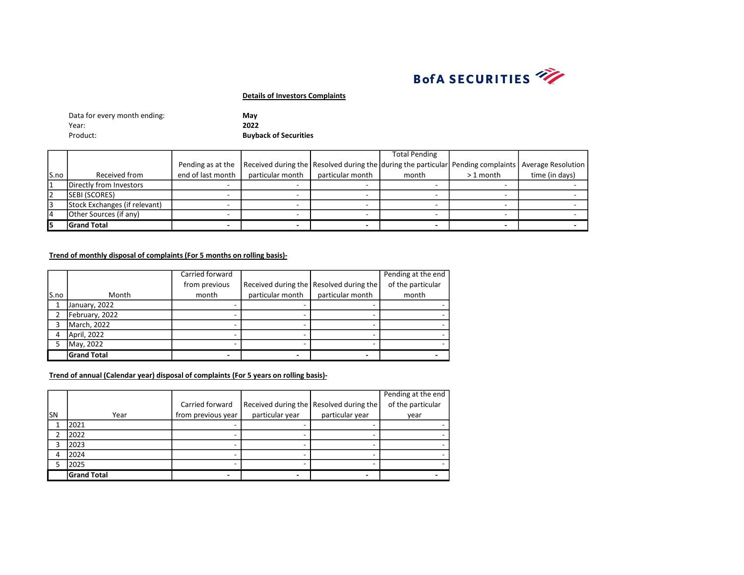

| Data for every month ending: | Mav                          |
|------------------------------|------------------------------|
| Year:                        | 2022                         |
| Product:                     | <b>Buyback of Securities</b> |

|      |                               |                   |                  |                  | <b>Total Pending</b>                                                                                |            |                |
|------|-------------------------------|-------------------|------------------|------------------|-----------------------------------------------------------------------------------------------------|------------|----------------|
|      |                               | Pending as at the |                  |                  | Received during the Resolved during the during the particular Pending complaints Average Resolution |            |                |
| S.no | Received from                 | end of last month | particular month | particular month | month                                                                                               | $>1$ month | time (in days) |
|      | Directly from Investors       |                   |                  |                  |                                                                                                     |            |                |
| 2    | SEBI (SCORES)                 |                   |                  |                  |                                                                                                     |            |                |
|      | Stock Exchanges (if relevant) |                   |                  |                  |                                                                                                     |            |                |
| 14   | Other Sources (if any)        |                   |                  |                  |                                                                                                     |            |                |
| 15   | <b>Grand Total</b>            |                   |                  |                  |                                                                                                     |            |                |

# Trend of monthly disposal of complaints (For 5 months on rolling basis)-

|      |                    | Carried forward |                  |                                           | Pending at the end |
|------|--------------------|-----------------|------------------|-------------------------------------------|--------------------|
|      |                    | from previous   |                  | Received during the   Resolved during the | of the particular  |
| S.no | Month              | month           | particular month | particular month                          | month              |
|      | January, 2022      |                 |                  |                                           |                    |
|      | February, 2022     |                 |                  |                                           |                    |
|      | March, 2022        |                 |                  |                                           |                    |
| 4    | April, 2022        |                 |                  |                                           |                    |
|      | May, 2022          |                 |                  |                                           |                    |
|      | <b>Grand Total</b> |                 |                  |                                           |                    |

|     |                    |                    |                 |                                           | Pending at the end |
|-----|--------------------|--------------------|-----------------|-------------------------------------------|--------------------|
|     |                    | Carried forward    |                 | Received during the   Resolved during the | of the particular  |
| lsn | Year               | from previous year | particular year | particular year                           | year               |
|     | 2021               |                    |                 |                                           |                    |
|     | 2022               |                    |                 |                                           |                    |
| ͻ   | 2023               |                    |                 |                                           |                    |
|     | 2024               |                    |                 |                                           |                    |
|     | 2025               |                    |                 |                                           |                    |
|     | <b>Grand Total</b> |                    |                 |                                           |                    |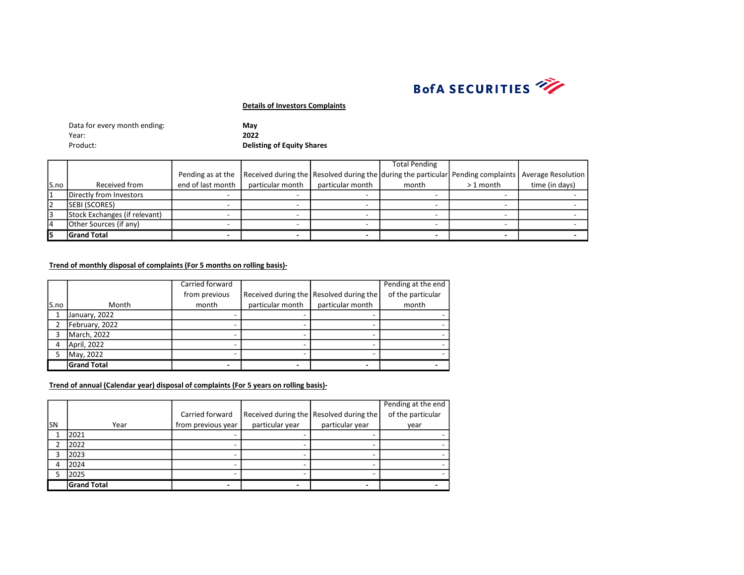

| Data for every month ending: | Mav                               |
|------------------------------|-----------------------------------|
| Year:                        | 2022                              |
| Product:                     | <b>Delisting of Equity Shares</b> |

|       |                               |                   |                  |                  | <b>Total Pending</b>                                                                                |            |                |
|-------|-------------------------------|-------------------|------------------|------------------|-----------------------------------------------------------------------------------------------------|------------|----------------|
|       |                               | Pending as at the |                  |                  | Received during the Resolved during the during the particular Pending complaints Average Resolution |            |                |
| lS.no | Received from                 | end of last month | particular month | particular month | month                                                                                               | $>1$ month | time (in days) |
|       | Directly from Investors       |                   |                  |                  |                                                                                                     |            |                |
|       | <b>SEBI (SCORES)</b>          |                   |                  |                  |                                                                                                     |            |                |
|       | Stock Exchanges (if relevant) |                   |                  |                  |                                                                                                     |            |                |
|       | Other Sources (if any)        |                   |                  |                  |                                                                                                     |            |                |
|       | <b>Grand Total</b>            |                   |                  |                  |                                                                                                     |            |                |

# Trend of monthly disposal of complaints (For 5 months on rolling basis)-

|      |                    | Carried forward |                  |                                           | Pending at the end |
|------|--------------------|-----------------|------------------|-------------------------------------------|--------------------|
|      |                    | from previous   |                  | Received during the   Resolved during the | of the particular  |
| S.no | Month              | month           | particular month | particular month                          | month              |
|      | January, 2022      |                 |                  |                                           |                    |
|      | February, 2022     |                 |                  |                                           |                    |
| ς    | March, 2022        |                 |                  |                                           |                    |
| 4    | April, 2022        |                 |                  |                                           |                    |
| 5    | May, 2022          |                 |                  |                                           |                    |
|      | <b>Grand Total</b> |                 |                  |                                           |                    |

|     |                    |                    |                 |                                         | Pending at the end |
|-----|--------------------|--------------------|-----------------|-----------------------------------------|--------------------|
|     |                    | Carried forward    |                 | Received during the Resolved during the | of the particular  |
| lsn | Year               | from previous year | particular year | particular year                         | year               |
|     | 2021               |                    |                 |                                         |                    |
|     | 2022               |                    |                 |                                         |                    |
|     | 2023               |                    |                 |                                         |                    |
|     | 2024               |                    |                 |                                         |                    |
|     | 2025               |                    |                 |                                         |                    |
|     | <b>Grand Total</b> |                    |                 |                                         |                    |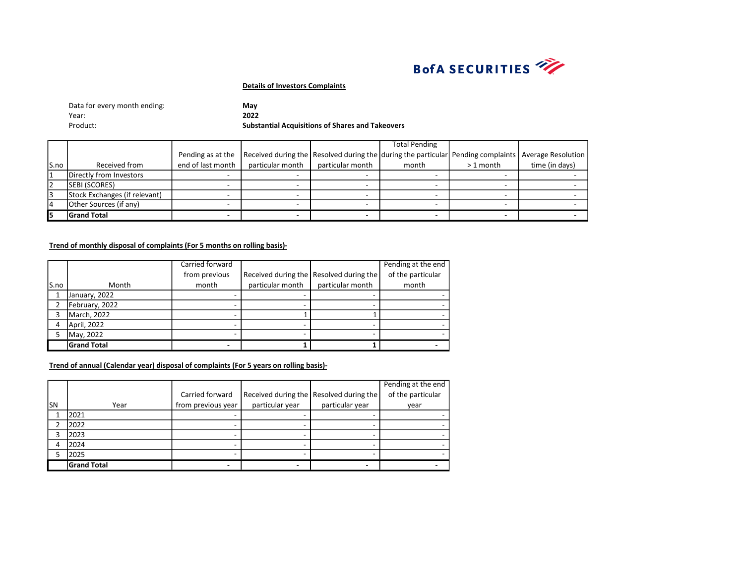

| Data for every month ending: | May                                                     |
|------------------------------|---------------------------------------------------------|
| Year:                        | 2022                                                    |
| Product:                     | <b>Substantial Acquisitions of Shares and Takeovers</b> |

|                |                               |                   |                  |                  | <b>Total Pending</b>                                                                                |            |                |
|----------------|-------------------------------|-------------------|------------------|------------------|-----------------------------------------------------------------------------------------------------|------------|----------------|
|                |                               | Pending as at the |                  |                  | Received during the Resolved during the during the particular Pending complaints Average Resolution |            |                |
| S.no           | Received from                 | end of last month | particular month | particular month | month                                                                                               | $>1$ month | time (in days) |
|                | Directly from Investors       |                   |                  |                  |                                                                                                     |            |                |
| $\overline{2}$ | <b>SEBI (SCORES)</b>          |                   |                  |                  |                                                                                                     |            |                |
| Iз             | Stock Exchanges (if relevant) |                   |                  |                  |                                                                                                     |            |                |
| $\overline{4}$ | Other Sources (if any)        |                   |                  |                  |                                                                                                     |            |                |
| 15             | <b>Grand Total</b>            |                   |                  |                  |                                                                                                     |            |                |

#### Trend of monthly disposal of complaints (For 5 months on rolling basis)-

|      |                    | Carried forward |                  |                                           | Pending at the end |
|------|--------------------|-----------------|------------------|-------------------------------------------|--------------------|
|      |                    | from previous   |                  | Received during the   Resolved during the | of the particular  |
| S.no | Month              | month           | particular month | particular month                          | month              |
|      | January, 2022      |                 |                  |                                           |                    |
|      | February, 2022     |                 |                  |                                           |                    |
| 3    | March, 2022        |                 |                  |                                           |                    |
| 4    | April, 2022        |                 |                  |                                           |                    |
| 5    | May, 2022          |                 |                  |                                           |                    |
|      | <b>Grand Total</b> |                 |                  |                                           |                    |

|           |                    |                    |                 |                                           | Pending at the end |
|-----------|--------------------|--------------------|-----------------|-------------------------------------------|--------------------|
|           |                    | Carried forward    |                 | Received during the   Resolved during the | of the particular  |
| <b>SN</b> | Year               | from previous year | particular year | particular year                           | year               |
|           | 2021               |                    |                 |                                           |                    |
| ኀ         | 2022               |                    |                 |                                           |                    |
|           | 2023               |                    |                 |                                           |                    |
|           | 2024               |                    |                 |                                           |                    |
|           | 2025               |                    |                 |                                           |                    |
|           | <b>Grand Total</b> |                    |                 |                                           |                    |